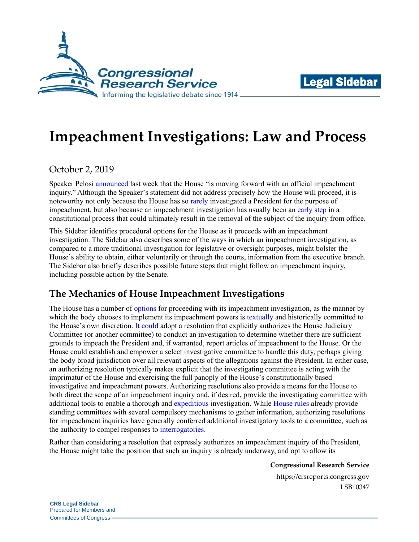



# **Impeachment Investigations: Law and Process**

October 2, 2019

Speaker Pelosi [announced](https://www.speaker.gov/newsroom/92419-0) last week that the House "is moving forward with an official impeachment inquiry." Although the Speaker's statement did not address precisely how the House will proceed, it is noteworthy not only because the House has so [rarely](https://crsreports.congress.gov/product/pdf/R/R44260) investigated a President for the purpose of impeachment, but also because an impeachment investigation has usually been an [early step](https://www.govinfo.gov/content/pkg/GPO-HPRACTICE-115/pdf/GPO-HPRACTICE-115.pdf#page=624) in a constitutional process that could ultimately result in the removal of the subject of the inquiry from office.

This Sidebar identifies procedural options for the House as it proceeds with an impeachment investigation. The Sidebar also describes some of the ways in which an impeachment investigation, as compared to a more traditional investigation for legislative or oversight purposes, might bolster the House's ability to obtain, either voluntarily or through the courts, information from the executive branch. The Sidebar also briefly describes possible future steps that might follow an impeachment inquiry, including possible action by the Senate.

## **The Mechanics of House Impeachment Investigations**

The House has a number of [options](https://crsreports.congress.gov/product/pdf/R/R45769#_Toc12015948) for proceeding with its impeachment investigation, as the manner by which the body chooses to implement its impeachment powers is [textually](https://constitution.congress.gov/conan/essay/I.2.5.1/) and historically committed to the House's own discretion. [It could](https://crsreports.congress.gov/product/pdf/R/R45769#_Toc12015952) adopt a resolution that explicitly authorizes the House Judiciary Committee (or another committee) to conduct an investigation to determine whether there are sufficient grounds to impeach the President and, if warranted, report articles of impeachment to the House. Or the House could establish and empower a select investigative committee to handle this duty, perhaps giving the body broad jurisdiction over all relevant aspects of the allegations against the President. In either case, an authorizing resolution typically makes explicit that the investigating committee is acting with the imprimatur of the House and exercising the full panoply of the House's constitutionally based investigative and impeachment powers. Authorizing resolutions also provide a means for the House to both direct the scope of an impeachment inquiry and, if desired, provide the investigating committee with additional tools to enable a thorough and [expeditious](https://www.congress.gov/congressional-report/105th-congress/house-report/795/1?s=1&r=60) investigation. While [House rules](https://rules.house.gov/sites/democrats.rules.house.gov/files/documents/116-House-Rules-Clerk.pdf) already provide standing committees with several compulsory mechanisms to gather information, authorizing resolutions for impeachment inquiries have generally conferred additional investigatory tools to a committee, such as the authority to compel responses to [interrogatories.](https://www.congress.gov/bill/105th-congress/house-resolution/581/text)

Rather than considering a resolution that expressly authorizes an impeachment inquiry of the President, the House might take the position that such an inquiry is already underway, and opt to allow its

**Congressional Research Service**

https://crsreports.congress.gov LSB10347

**CRS Legal Sidebar** Prepared for Members and Committees of Congress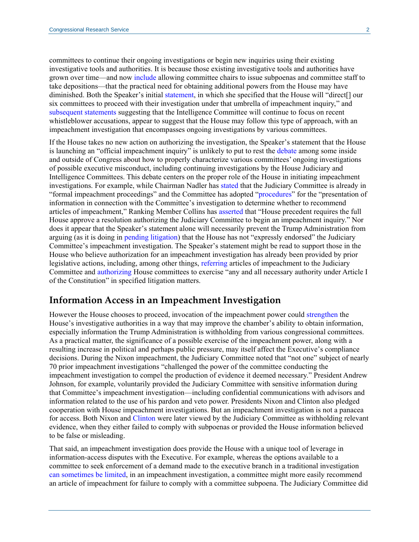committees to continue their ongoing investigations or begin new inquiries using their existing investigative tools and authorities. It is because those existing investigative tools and authorities have grown over time—and now [include](https://crsreports.congress.gov/product/pdf/R/R45442#_Toc533154331) allowing committee chairs to issue subpoenas and committee staff to take depositions—that the practical need for obtaining additional powers from the House may have diminished. Both the Speaker's initial [statement,](https://www.speaker.gov/newsroom/92419-0) in which she specified that the House will "direct[] our six committees to proceed with their investigation under that umbrella of impeachment inquiry," and [subsequent](https://www.speaker.gov/newsroom/92619-1) statements suggesting that the Intelligence Committee will continue to focus on recent whistleblower accusations, appear to suggest that the House may follow this type of approach, with an impeachment investigation that encompasses ongoing investigations by various committees.

If the House takes no new action on authorizing the investigation, the Speaker's statement that the House is launching an "official impeachment inquiry" is unlikely to put to rest the [debate](https://www.nytimes.com/2019/09/11/us/politics/democrats-house-impeachment-inquiry.html) among some inside and outside of Congress about how to properly characterize various committees' ongoing investigations of possible executive misconduct, including continuing investigations by the House Judiciary and Intelligence Committees. This debate centers on the proper role of the House in initiating impeachment investigations. For example, while Chairman Nadler has [stated](https://www.politico.com/story/2019/08/08/nadler-this-is-formal-impeachment-proceedings-1454360) that the Judiciary Committee is already in "formal impeachment proceedings" and the Committee has adopted ["procedures"](https://judiciary.house.gov/news/press-releases/chairman-nadler-statement-markup-resolution-investigative-procedures) for the "presentation of information in connection with the Committee's investigation to determine whether to recommend articles of impeachment," Ranking Member Collins has [asserted](https://www.latimes.com/opinion/story/2019-08-09/impeachment-trump-house-judiciary-committee-investigation) that "House precedent requires the full House approve a resolution authorizing the Judiciary Committee to begin an impeachment inquiry." Nor does it appear that the Speaker's statement alone will necessarily prevent the Trump Administration from arguing (as it is doing in [pending litigation\)](https://thehill.com/homenews/administration/461387-doj-files-brief-arguing-against-house-impeachment-probe) that the House has not "expressly endorsed" the Judiciary Committee's impeachment investigation. The Speaker's statement might be read to support those in the House who believe authorization for an impeachment investigation has already been provided by prior legislative actions, including, among other things, [referring](https://www.congress.gov/bill/116th-congress/house-resolution/13/all-actions?q=%7B%22search%22%3A%22impeachment%22%7D&s=1&r=2) articles of impeachment to the Judiciary Committee and [authorizing](https://www.congress.gov/bill/116th-congress/house-resolution/430?q=%7B%22search%22%3A%22h+res+430%22%7D&s=1&r=2) House committees to exercise "any and all necessary authority under Article I of the Constitution" in specified litigation matters.

#### **Information Access in an Impeachment Investigation**

However the House chooses to proceed, invocation of the impeachment power could [strengthen](https://www.justsecurity.org/64318/how-impeachment-proceedings-would-strengthen-congresss-investigatory-powers/) the House's investigative authorities in a way that may improve the chamber's ability to obtain information, especially information the Trump Administration is withholding from various congressional committees. As a practical matter, the significance of a possible exercise of the impeachment power, along with a resulting increase in political and perhaps public pressure, may itself affect the Executive's compliance decisions. During the Nixon impeachment, the Judiciary Committee noted that "not one" subject of nearly 70 prior impeachment investigations "challenged the power of the committee conducting the impeachment investigation to compel the production of evidence it deemed necessary." President Andrew Johnson, for example, voluntarily provided the Judiciary Committee with sensitive information during that Committee's impeachment investigation—including confidential communications with advisors and information related to the use of his pardon and veto power. Presidents Nixon and Clinton also pledged cooperation with House impeachment investigations. But an impeachment investigation is not a panacea for access. Both Nixon and [Clinton](https://www.congress.gov/congressional-report/105th-congress/house-report/830/) were later viewed by the Judiciary Committee as withholding relevant evidence, when they either failed to comply with subpoenas or provided the House information believed to be false or misleading.

That said, an impeachment investigation does provide the House with a unique tool of leverage in information-access disputes with the Executive. For example, whereas the options available to a committee to seek enforcement of a demand made to the executive branch in a traditional investigation [can sometimes be limited,](https://crsreports.congress.gov/product/pdf/R/R45653) in an impeachment investigation, a committee might more easily recommend an article of impeachment for failure to comply with a committee subpoena. The Judiciary Committee did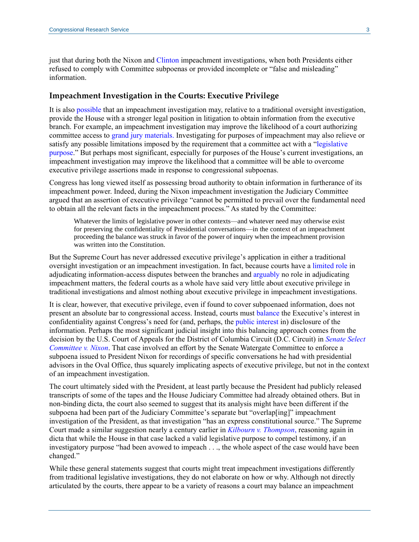just that during both the Nixon and [Clinton](https://www.congress.gov/congressional-report/105th-congress/house-report/830/) impeachment investigations, when both Presidents either refused to comply with Committee subpoenas or provided incomplete or "false and misleading" information.

#### **Impeachment Investigation in the Courts: Executive Privilege**

It is also [possible](https://www.lawfareblog.com/what-powers-does-formal-impeachment-inquiry-give-house) that an impeachment investigation may, relative to a traditional oversight investigation, provide the House with a stronger legal position in litigation to obtain information from the executive branch. For example, an impeachment investigation may improve the likelihood of a court authorizing committee access to [grand jury materials.](https://crsreports.congress.gov/product/pdf/R/R45456#_Toc534903654) Investigating for purposes of impeachment may also relieve or satisfy any possible limitations imposed by the requirement that a committee act with a ["legislative](https://crsreports.congress.gov/product/pdf/LSB/LSB10301)  [purpose.](https://crsreports.congress.gov/product/pdf/LSB/LSB10301)" But perhaps most significant, especially for purposes of the House's current investigations, an impeachment investigation may improve the likelihood that a committee will be able to overcome executive privilege assertions made in response to congressional subpoenas.

Congress has long viewed itself as possessing broad authority to obtain information in furtherance of its impeachment power. Indeed, during the Nixon impeachment investigation the Judiciary Committee argued that an assertion of executive privilege "cannot be permitted to prevail over the fundamental need to obtain all the relevant facts in the impeachment process." As stated by the Committee:

Whatever the limits of legislative power in other contexts—and whatever need may otherwise exist for preserving the confidentiality of Presidential conversations—in the context of an impeachment proceeding the balance was struck in favor of the power of inquiry when the impeachment provision was written into the Constitution.

But the Supreme Court has never addressed executive privilege's application in either a traditional oversight investigation or an impeachment investigation. In fact, because courts have a [limited role](https://scholar.google.com/scholar_case?case=14964324688576459289&q=567+F.2d+121&hl=en&as_sdt=20006) in adjudicating information-access disputes between the branches and [arguably](https://scholar.google.com/scholar_case?case=14698929829694767103&q=833+F.2d+1438&hl=en&as_sdt=20006) no role in adjudicating impeachment matters, the federal courts as a whole have said very little about executive privilege in traditional investigations and almost nothing about executive privilege in impeachment investigations.

It is clear, however, that executive privilege, even if found to cover subpoenaed information, does not present an absolute bar to congressional access. Instead, courts must [balance](https://crsreports.congress.gov/product/pdf/LSB/LSB10271) the Executive's interest in confidentiality against Congress's need for (and, perhaps, the [public interest](https://casetext.com/case/nixon-v-sirica#pa141) in) disclosure of the information. Perhaps the most significant judicial insight into this balancing approach comes from the decision by the U.S. Court of Appeals for the District of Columbia Circuit (D.C. Circuit) in *[Senate Select](https://scholar.google.com/scholar_case?case=16594332911656322885&q=senate+select+committee+v+nixon&hl=en&as_sdt=20006)  [Committee v.](https://scholar.google.com/scholar_case?case=16594332911656322885&q=senate+select+committee+v+nixon&hl=en&as_sdt=20006) Nixon*. That case involved an effort by the Senate Watergate Committee to enforce a subpoena issued to President Nixon for recordings of specific conversations he had with presidential advisors in the Oval Office, thus squarely implicating aspects of executive privilege, but not in the context of an impeachment investigation.

The court ultimately sided with the President, at least partly because the President had publicly released transcripts of some of the tapes and the House Judiciary Committee had already obtained others. But in non-binding dicta, the court also seemed to suggest that its analysis might have been different if the subpoena had been part of the Judiciary Committee's separate but "overlap[ing]" impeachment investigation of the President, as that investigation "has an express constitutional source." The Supreme Court made a similar suggestion nearly a century earlier in *[Kilbourn v. Thompson](https://scholar.google.com/scholar_case?case=10934169895188630665&q=kilbourn+v+thompson&hl=en&as_sdt=20006)*, reasoning again in dicta that while the House in that case lacked a valid legislative purpose to compel testimony, if an investigatory purpose "had been avowed to impeach . . ., the whole aspect of the case would have been changed."

While these general statements suggest that courts might treat impeachment investigations differently from traditional legislative investigations, they do not elaborate on how or why. Although not directly articulated by the courts, there appear to be a variety of reasons a court may balance an impeachment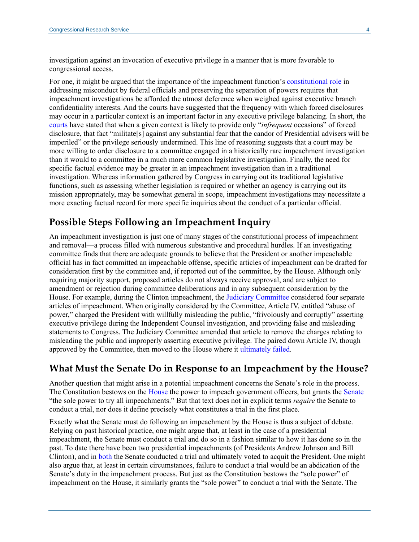investigation against an invocation of executive privilege in a manner that is more favorable to congressional access.

For one, it might be argued that the importance of the impeachment function's [constitutional role](https://www.congress.gov/resources/display/content/The+Federalist+Papers#TheFederalistPapers-66) in addressing misconduct by federal officials and preserving the separation of powers requires that impeachment investigations be afforded the utmost deference when weighed against executive branch confidentiality interests. And the courts have suggested that the frequency with which forced disclosures may occur in a particular context is an important factor in any executive privilege balancing. In short, the [courts](https://scholar.google.com/scholar_case?case=15929785334591756325&q=the+candor+of+Presidential+advisers+will+be+imperiled&hl=en&as_sdt=20006) have stated that when a given context is likely to provide only "*infrequent* occasions" of forced disclosure, that fact "militate[s] against any substantial fear that the candor of Presidential advisers will be imperiled" or the privilege seriously undermined. This line of reasoning suggests that a court may be more willing to order disclosure to a committee engaged in a historically rare impeachment investigation than it would to a committee in a much more common legislative investigation. Finally, the need for specific factual evidence may be greater in an impeachment investigation than in a traditional investigation. Whereas information gathered by Congress in carrying out its traditional legislative functions, such as assessing whether legislation is required or whether an agency is carrying out its mission appropriately, may be somewhat general in scope, impeachment investigations may necessitate a more exacting factual record for more specific inquiries about the conduct of a particular official.

#### **Possible Steps Following an Impeachment Inquiry**

An impeachment investigation is just one of many stages of the constitutional process of impeachment and removal—a process filled with numerous substantive and procedural hurdles. If an investigating committee finds that there are adequate grounds to believe that the President or another impeachable official has in fact committed an impeachable offense, specific articles of impeachment can be drafted for consideration first by the committee and, if reported out of the committee, by the House. Although only requiring majority support, proposed articles do not always receive approval, and are subject to amendment or rejection during committee deliberations and in any subsequent consideration by the House. For example, during the Clinton impeachment, th[e Judiciary Committee](https://www.congress.gov/congressional-report/105th-congress/house-report/830/) considered four separate articles of impeachment. When originally considered by the Committee, Article IV, entitled "abuse of power," charged the President with willfully misleading the public, "frivolously and corruptly" asserting executive privilege during the Independent Counsel investigation, and providing false and misleading statements to Congress. The Judiciary Committee amended that article to remove the charges relating to misleading the public and improperly asserting executive privilege. The paired down Article IV, though approved by the Committee, then moved to the House where it [ultimately failed.](https://www.congress.gov/bill/105th-congress/house-resolution/611)

#### **What Must the Senate Do in Response to an Impeachment by the House?**

Another question that might arise in a potential impeachment concerns the Senate's role in the process. The Constitution bestows on the [House](https://constitution.congress.gov/conan/essay/I_2_5_1/) the power to impeach government officers, but grants the [Senate](https://constitution.congress.gov/conan/essay/I_3_6_1/) "the sole power to try all impeachments." But that text does not in explicit terms *require* the Senate to conduct a trial, nor does it define precisely what constitutes a trial in the first place.

Exactly what the Senate must do following an impeachment by the House is thus a subject of debate. Relying on past historical practice, one might argue that, at least in the case of a presidential impeachment, the Senate must conduct a trial and do so in a fashion similar to how it has done so in the past. To date there have been two presidential impeachments (of Presidents Andrew Johnson and Bill Clinton), and in [both](https://crsreports.congress.gov/product/pdf/R/R44260#_Toc433996071) the Senate conducted a trial and ultimately voted to acquit the President. One might also argue that, at least in certain circumstances, failure to conduct a trial would be an abdication of the Senate's duty in the impeachment process. But just as the Constitution bestows the "sole power" of impeachment on the House, it similarly grants the "sole power" to conduct a trial with the Senate. The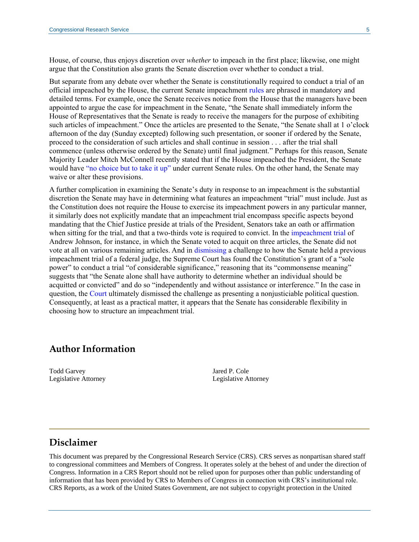House, of course, thus enjoys discretion over *whether* to impeach in the first place; likewise, one might argue that the Constitution also grants the Senate discretion over whether to conduct a trial.

But separate from any debate over whether the Senate is constitutionally required to conduct a trial of an official impeached by the House, the current Senate impeachment [rules](https://www.law.cornell.edu/background/impeach/senaterules.pdf) are phrased in mandatory and detailed terms. For example, once the Senate receives notice from the House that the managers have been appointed to argue the case for impeachment in the Senate, "the Senate shall immediately inform the House of Representatives that the Senate is ready to receive the managers for the purpose of exhibiting such articles of impeachment." Once the articles are presented to the Senate, "the Senate shall at 1 o'clock afternoon of the day (Sunday excepted) following such presentation, or sooner if ordered by the Senate, proceed to the consideration of such articles and shall continue in session . . . after the trial shall commence (unless otherwise ordered by the Senate) until final judgment." Perhaps for this reason, Senate Majority Leader Mitch McConnell recently stated that if the House impeached the President, the Senate would have ["no choice but to take it up"](https://www.yahoo.com/news/mitch-mcconnell-no-choice-impeachment-senate-vote-163209593.html) under current Senate rules. On the other hand, the Senate may waive or alter these provisions.

A further complication in examining the Senate's duty in response to an impeachment is the substantial discretion the Senate may have in determining what features an impeachment "trial" must include. Just as the Constitution does not require the House to exercise its impeachment powers in any particular manner, it similarly does not explicitly mandate that an impeachment trial encompass specific aspects beyond mandating that the Chief Justice preside at trials of the President, Senators take an oath or affirmation when sitting for the trial, and that a two-thirds vote is required to convict. In the [impeachment trial](https://www.senate.gov/artandhistory/history/common/collection_list/JohnsonAndrew_impeachment.htm#targetText=On%20May%2016%2C%20the%20Senate,adjourned%20the%20Court%20of%20Impeachment.) of Andrew Johnson, for instance, in which the Senate voted to acquit on three articles, the Senate did not vote at all on various remaining articles. And in [dismissing](https://scholar.google.com/scholar_case?case=17675318889659087739&q=nixon+v+us+impeachment&hl=en&as_sdt=20006) a challenge to how the Senate held a previous impeachment trial of a federal judge, the Supreme Court has found the Constitution's grant of a "sole power" to conduct a trial "of considerable significance," reasoning that its "commonsense meaning" suggests that "the Senate alone shall have authority to determine whether an individual should be acquitted or convicted" and do so "independently and without assistance or interference." In the case in question, the [Court](https://scholar.google.com/scholar_case?case=17675318889659087739&q=nixon+v+us+impeachment&hl=en&as_sdt=20006) ultimately dismissed the challenge as presenting a nonjusticiable political question. Consequently, at least as a practical matter, it appears that the Senate has considerable flexibility in choosing how to structure an impeachment trial.

#### **Author Information**

Todd Garvey Legislative Attorney Jared P. Cole Legislative Attorney

### **Disclaimer**

This document was prepared by the Congressional Research Service (CRS). CRS serves as nonpartisan shared staff to congressional committees and Members of Congress. It operates solely at the behest of and under the direction of Congress. Information in a CRS Report should not be relied upon for purposes other than public understanding of information that has been provided by CRS to Members of Congress in connection with CRS's institutional role. CRS Reports, as a work of the United States Government, are not subject to copyright protection in the United